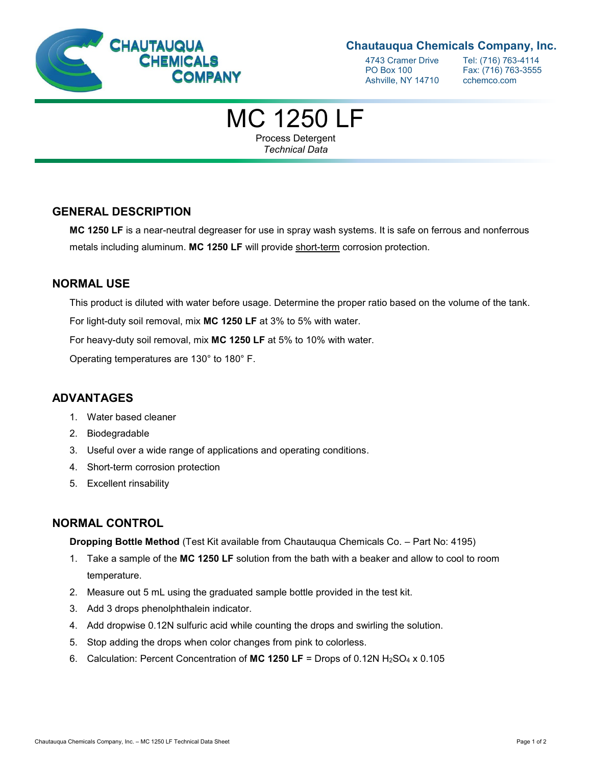

# **Chautauqua Chemicals Company, Inc.**

4743 Cramer Drive Tel: (716) 763-4114<br>PO Box 100 Fax: (716) 763-3555 Ashville, NY 14710 cchemco.com

Fax: (716) 763-3555

# MC 1250 LF

Process Detergent *Technical Data*

# **GENERAL DESCRIPTION**

**MC 1250 LF** is a near-neutral degreaser for use in spray wash systems. It is safe on ferrous and nonferrous metals including aluminum. **MC 1250 LF** will provide short-term corrosion protection.

# **NORMAL USE**

This product is diluted with water before usage. Determine the proper ratio based on the volume of the tank.

For light-duty soil removal, mix **MC 1250 LF** at 3% to 5% with water.

For heavy-duty soil removal, mix **MC 1250 LF** at 5% to 10% with water.

Operating temperatures are 130° to 180° F.

# **ADVANTAGES**

- 1. Water based cleaner
- 2. Biodegradable
- 3. Useful over a wide range of applications and operating conditions.
- 4. Short-term corrosion protection
- 5. Excellent rinsability

# **NORMAL CONTROL**

**Dropping Bottle Method** (Test Kit available from Chautauqua Chemicals Co. – Part No: 4195)

- 1. Take a sample of the **MC 1250 LF** solution from the bath with a beaker and allow to cool to room temperature.
- 2. Measure out 5 mL using the graduated sample bottle provided in the test kit.
- 3. Add 3 drops phenolphthalein indicator.
- 4. Add dropwise 0.12N sulfuric acid while counting the drops and swirling the solution.
- 5. Stop adding the drops when color changes from pink to colorless.
- 6. Calculation: Percent Concentration of **MC 1250 LF** = Drops of 0.12N H2SO<sup>4</sup> x 0.105